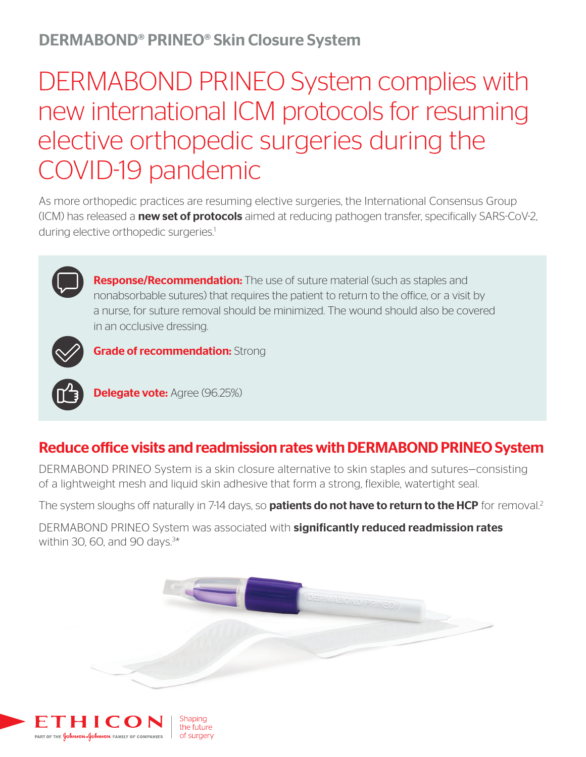# DERMABOND® PRINEO® Skin Closure System

# DERMABOND PRINEO System complies with new international ICM protocols for resuming elective orthopedic surgeries during the COVID-19 pandemic

As more orthopedic practices are resuming elective surgeries, the International Consensus Group (ICM) has released a **new set of protocols** aimed at reducing pathogen transfer, specifically SARS-CoV-2, during elective orthopedic surgeries.<sup>1</sup>



Response/Recommendation: The use of suture material (such as staples and nonabsorbable sutures) that requires the patient to return to the office, or a visit by a nurse, for suture removal should be minimized. The wound should also be covered in an occlusive dressing.



**Grade of recommendation: Strong** 



**Delegate vote: Agree (96.25%)** 

### Reduce office visits and readmission rates with DERMABOND PRINEO System

DERMABOND PRINEO System is a skin closure alternative to skin staples and sutures—consisting of a lightweight mesh and liquid skin adhesive that form a strong, flexible, watertight seal.

The system sloughs off naturally in 7-14 days, so **patients do not have to return to the HCP** for removal.<sup>2</sup>

DERMABOND PRINEO System was associated with significantly reduced readmission rates within 30, 60, and 90 days.3 \*